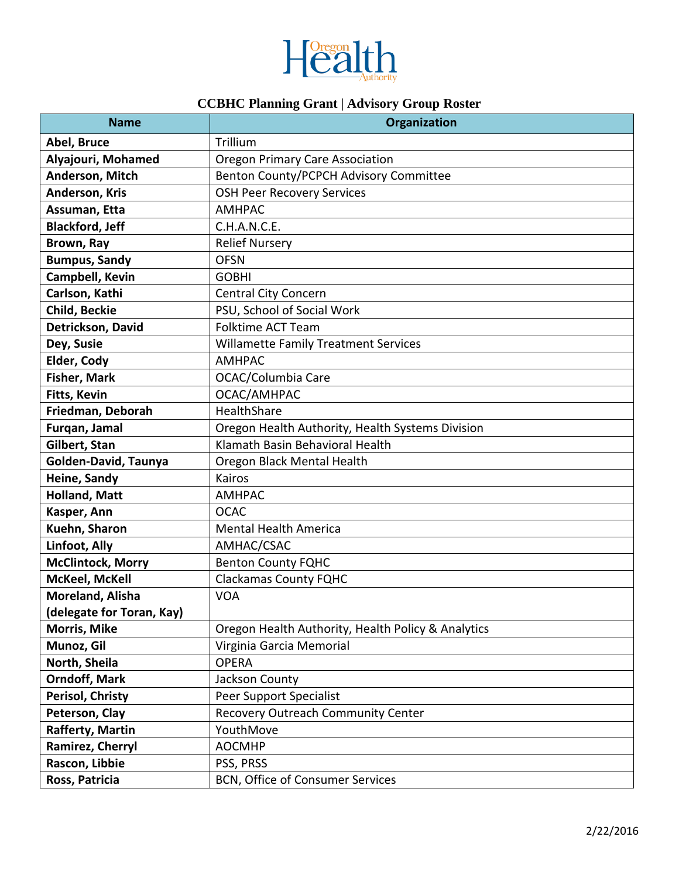

## **CCBHC Planning Grant | Advisory Group Roster**

| <b>Name</b>               | Organization                                       |
|---------------------------|----------------------------------------------------|
| Abel, Bruce               | Trillium                                           |
| Alyajouri, Mohamed        | <b>Oregon Primary Care Association</b>             |
| Anderson, Mitch           | Benton County/PCPCH Advisory Committee             |
| Anderson, Kris            | <b>OSH Peer Recovery Services</b>                  |
| Assuman, Etta             | <b>AMHPAC</b>                                      |
| <b>Blackford, Jeff</b>    | C.H.A.N.C.E.                                       |
| Brown, Ray                | <b>Relief Nursery</b>                              |
| <b>Bumpus, Sandy</b>      | <b>OFSN</b>                                        |
| Campbell, Kevin           | <b>GOBHI</b>                                       |
| Carlson, Kathi            | <b>Central City Concern</b>                        |
| Child, Beckie             | PSU, School of Social Work                         |
| Detrickson, David         | Folktime ACT Team                                  |
| Dey, Susie                | <b>Willamette Family Treatment Services</b>        |
| Elder, Cody               | <b>AMHPAC</b>                                      |
| Fisher, Mark              | OCAC/Columbia Care                                 |
| Fitts, Kevin              | OCAC/AMHPAC                                        |
| Friedman, Deborah         | HealthShare                                        |
| Furqan, Jamal             | Oregon Health Authority, Health Systems Division   |
| Gilbert, Stan             | Klamath Basin Behavioral Health                    |
| Golden-David, Taunya      | Oregon Black Mental Health                         |
| Heine, Sandy              | Kairos                                             |
| <b>Holland, Matt</b>      | <b>AMHPAC</b>                                      |
| Kasper, Ann               | <b>OCAC</b>                                        |
| Kuehn, Sharon             | <b>Mental Health America</b>                       |
| Linfoot, Ally             | AMHAC/CSAC                                         |
| <b>McClintock, Morry</b>  | <b>Benton County FQHC</b>                          |
| McKeel, McKell            | <b>Clackamas County FQHC</b>                       |
| Moreland, Alisha          | <b>VOA</b>                                         |
| (delegate for Toran, Kay) |                                                    |
| <b>Morris, Mike</b>       | Oregon Health Authority, Health Policy & Analytics |
| Munoz, Gil                | Virginia Garcia Memorial                           |
| North, Sheila             | <b>OPERA</b>                                       |
| <b>Orndoff, Mark</b>      | Jackson County                                     |
| Perisol, Christy          | Peer Support Specialist                            |
| Peterson, Clay            | Recovery Outreach Community Center                 |
| Rafferty, Martin          | YouthMove                                          |
| Ramirez, Cherryl          | <b>AOCMHP</b>                                      |
| Rascon, Libbie            | PSS, PRSS                                          |
| Ross, Patricia            | BCN, Office of Consumer Services                   |